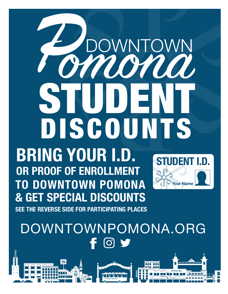# rmonn STUDENT DISCOUNTS OWNTOWN **BRIDGET IN STUDENT IN STUDENT IN STUDENT IN STUDENT IN STUDENT IN STUDIE OR PROOF OF ENROLLMENT**

**BRING YOUR I.D. OR PROOF OF ENROLLMENT TO DOWNTOWN POMONA & GET SPECIAL DISCOUNTS SEE THE REVERSE SIDE FOR PARTICIPATING PLACES EXTERNAL BUDGE SPECIAL DISCOUNTS.**<br>The General Discounts of Persons in Merry.



# DOWNTOWNPOMONA.ORG  $\overline{1}$